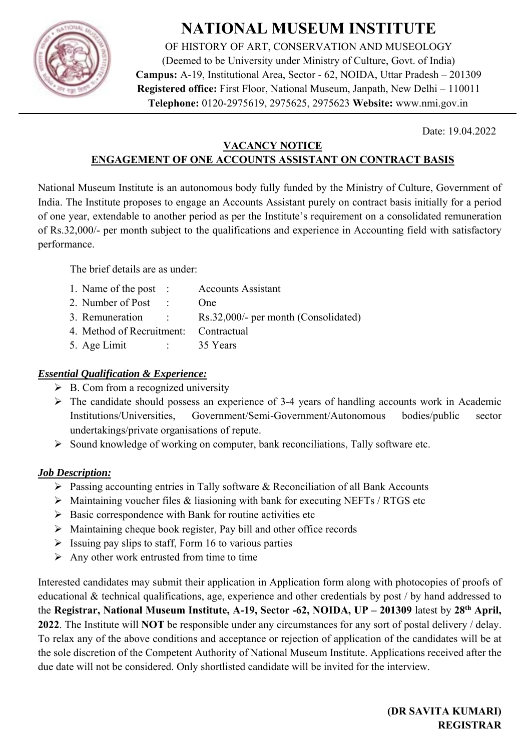

# **NATIONAL MUSEUM INSTITUTE**

OF HISTORY OF ART, CONSERVATION AND MUSEOLOGY (Deemed to be University under Ministry of Culture, Govt. of India) **Campus:** A-19, Institutional Area, Sector - 62, NOIDA, Uttar Pradesh – 201309 **Registered office:** First Floor, National Museum, Janpath, New Delhi – 110011 **Telephone:** 0120-2975619, 2975625, 2975623 **Website:** www.nmi.gov.in

Date: 19.04.2022

#### **VACANCY NOTICE ENGAGEMENT OF ONE ACCOUNTS ASSISTANT ON CONTRACT BASIS**

National Museum Institute is an autonomous body fully funded by the Ministry of Culture, Government of India. The Institute proposes to engage an Accounts Assistant purely on contract basis initially for a period of one year, extendable to another period as per the Institute's requirement on a consolidated remuneration of Rs.32,000/- per month subject to the qualifications and experience in Accounting field with satisfactory performance.

The brief details are as under:

| 1. Name of the post :                                                                                   | <b>Accounts Assistant</b>            |
|---------------------------------------------------------------------------------------------------------|--------------------------------------|
| 2. Number of Post                                                                                       | One                                  |
| 3. Remuneration :                                                                                       | Rs.32,000/- per month (Consolidated) |
| 4. Method of Recruitment: Contractual                                                                   |                                      |
| 5. Age Limit<br>$\mathcal{L}^{\text{max}}_{\text{max}}$ , where $\mathcal{L}^{\text{max}}_{\text{max}}$ | 35 Years                             |

## *Essential Qualification & Experience:*

- $\triangleright$  B. Com from a recognized university
- $\triangleright$  The candidate should possess an experience of 3-4 years of handling accounts work in Academic Institutions/Universities, Government/Semi-Government/Autonomous bodies/public sector undertakings/private organisations of repute.
- $\triangleright$  Sound knowledge of working on computer, bank reconciliations, Tally software etc.

# *Job Description:*

- $\triangleright$  Passing accounting entries in Tally software & Reconciliation of all Bank Accounts
- $\triangleright$  Maintaining voucher files & liasioning with bank for executing NEFTs / RTGS etc
- $\triangleright$  Basic correspondence with Bank for routine activities etc
- $\triangleright$  Maintaining cheque book register, Pay bill and other office records
- $\triangleright$  Issuing pay slips to staff, Form 16 to various parties
- $\triangleright$  Any other work entrusted from time to time

Interested candidates may submit their application in Application form along with photocopies of proofs of educational & technical qualifications, age, experience and other credentials by post / by hand addressed to the **Registrar, National Museum Institute, A-19, Sector -62, NOIDA, UP – 201309** latest by **28th April, 2022**. The Institute will **NOT** be responsible under any circumstances for any sort of postal delivery / delay. To relax any of the above conditions and acceptance or rejection of application of the candidates will be at the sole discretion of the Competent Authority of National Museum Institute. Applications received after the due date will not be considered. Only shortlisted candidate will be invited for the interview.